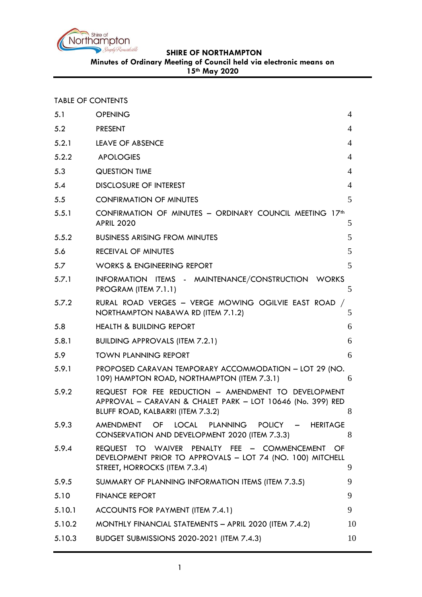

**SHIRE OF NORTHAMPTON**

**Minutes of Ordinary Meeting of Council held via electronic means on** 

**15th May 2020**

| <b>TABLE OF CONTENTS</b> |  |  |  |
|--------------------------|--|--|--|
|--------------------------|--|--|--|

| 5.1    | <b>OPENING</b>                                                                                                                                          | 4              |
|--------|---------------------------------------------------------------------------------------------------------------------------------------------------------|----------------|
| 5.2    | <b>PRESENT</b>                                                                                                                                          | 4              |
| 5.2.1  | <b>LEAVE OF ABSENCE</b>                                                                                                                                 | 4              |
| 5.2.2  | <b>APOLOGIES</b>                                                                                                                                        | 4              |
| 5.3    | <b>QUESTION TIME</b>                                                                                                                                    | 4              |
| 5.4    | <b>DISCLOSURE OF INTEREST</b>                                                                                                                           | $\overline{4}$ |
| 5.5    | <b>CONFIRMATION OF MINUTES</b>                                                                                                                          | 5              |
| 5.5.1  | CONFIRMATION OF MINUTES - ORDINARY COUNCIL MEETING 17th<br><b>APRIL 2020</b>                                                                            | 5              |
| 5.5.2  | <b>BUSINESS ARISING FROM MINUTES</b>                                                                                                                    | 5              |
| 5.6    | RECEIVAL OF MINUTES                                                                                                                                     | 5              |
| 5.7    | <b>WORKS &amp; ENGINEERING REPORT</b>                                                                                                                   | 5              |
| 5.7.1  | INFORMATION ITEMS - MAINTENANCE/CONSTRUCTION WORKS<br>PROGRAM (ITEM 7.1.1)                                                                              | 5              |
| 5.7.2  | RURAL ROAD VERGES - VERGE MOWING OGILVIE EAST ROAD<br>NORTHAMPTON NABAWA RD (ITEM 7.1.2)                                                                | 5              |
| 5.8    | <b>HEALTH &amp; BUILDING REPORT</b>                                                                                                                     | 6              |
| 5.8.1  | <b>BUILDING APPROVALS (ITEM 7.2.1)</b>                                                                                                                  | 6              |
| 5.9    | <b>TOWN PLANNING REPORT</b>                                                                                                                             | 6              |
| 5.9.1  | PROPOSED CARAVAN TEMPORARY ACCOMMODATION - LOT 29 (NO.<br>109) HAMPTON ROAD, NORTHAMPTON (ITEM 7.3.1)                                                   | 6              |
| 5.9.2  | REQUEST FOR FEE REDUCTION - AMENDMENT TO DEVELOPMENT<br>APPROVAL - CARAVAN & CHALET PARK - LOT 10646 (No. 399) RED<br>BLUFF ROAD, KALBARRI (ITEM 7.3.2) | 8              |
| 5.9.3  | AMENDMENT OF LOCAL PLANNING POLICY - HERITAGE<br>CONSERVATION AND DEVELOPMENT 2020 (ITEM 7.3.3)                                                         | 8              |
| 5.9.4  | REQUEST TO WAIVER PENALTY FEE - COMMENCEMENT OF<br>DEVELOPMENT PRIOR TO APPROVALS - LOT 74 (NO. 100) MITCHELL<br>STREET, HORROCKS (ITEM 7.3.4)          | 9              |
| 5.9.5  | SUMMARY OF PLANNING INFORMATION ITEMS (ITEM 7.3.5)                                                                                                      | 9              |
| 5.10   | <b>FINANCE REPORT</b>                                                                                                                                   | 9              |
| 5.10.1 | ACCOUNTS FOR PAYMENT (ITEM 7.4.1)                                                                                                                       | 9              |
| 5.10.2 | MONTHLY FINANCIAL STATEMENTS - APRIL 2020 (ITEM 7.4.2)                                                                                                  | 10             |
| 5.10.3 | <b>BUDGET SUBMISSIONS 2020-2021 (ITEM 7.4.3)</b>                                                                                                        | 10             |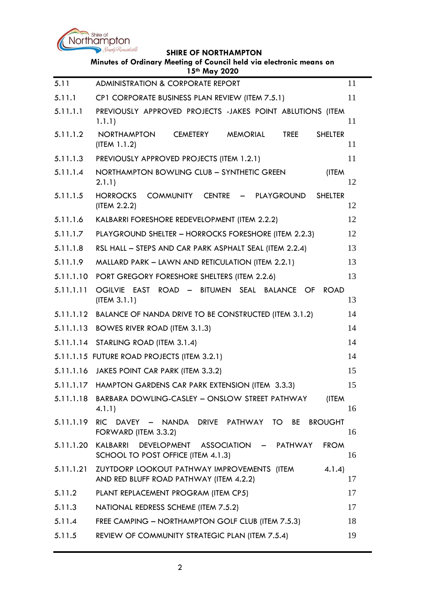

### **SHIRE OF NORTHAMPTON**

| Minutes of Ordinary Meeting of Council held via electronic means on<br>15th May 2020 |                                                                                                              |    |  |  |
|--------------------------------------------------------------------------------------|--------------------------------------------------------------------------------------------------------------|----|--|--|
| 5.11                                                                                 | ADMINISTRATION & CORPORATE REPORT                                                                            | 11 |  |  |
| 5.11.1                                                                               | CP1 CORPORATE BUSINESS PLAN REVIEW (ITEM 7.5.1)                                                              | 11 |  |  |
| 5.11.1.1                                                                             | PREVIOUSLY APPROVED PROJECTS -JAKES POINT ABLUTIONS (ITEM<br>1.1.1)                                          | 11 |  |  |
| 5.11.1.2                                                                             | <b>NORTHAMPTON</b><br><b>CEMETERY</b><br><b>MEMORIAL</b><br><b>TREE</b><br><b>SHELTER</b><br>(IFEM 1.1.2)    | 11 |  |  |
| 5.11.1.3                                                                             | PREVIOUSLY APPROVED PROJECTS (ITEM 1.2.1)                                                                    | 11 |  |  |
| 5.11.1.4                                                                             | NORTHAMPTON BOWLING CLUB - SYNTHETIC GREEN<br>(ITEM<br>2.1.1)                                                | 12 |  |  |
| 5.11.1.5                                                                             | <b>HORROCKS</b><br><b>COMMUNITY</b><br>CENTRE - PLAYGROUND<br><b>SHELTER</b><br>(ITEM 2.2.2)                 | 12 |  |  |
| 5.11.1.6                                                                             | KALBARRI FORESHORE REDEVELOPMENT (ITEM 2.2.2)                                                                | 12 |  |  |
| 5.11.1.7                                                                             | PLAYGROUND SHELTER - HORROCKS FORESHORE (ITEM 2.2.3)                                                         | 12 |  |  |
| 5.11.1.8                                                                             | RSL HALL - STEPS AND CAR PARK ASPHALT SEAL (ITEM 2.2.4)                                                      | 13 |  |  |
| 5.11.1.9                                                                             | MALLARD PARK - LAWN AND RETICULATION (ITEM 2.2.1)                                                            | 13 |  |  |
| 5.11.1.10                                                                            | PORT GREGORY FORESHORE SHELTERS (ITEM 2.2.6)                                                                 | 13 |  |  |
| 5.11.1.11                                                                            | OGILVIE EAST ROAD -<br>BITUMEN SEAL BALANCE OF<br><b>ROAD</b><br>(ITERA 3.1.1)                               | 13 |  |  |
|                                                                                      | 5.11.1.12 BALANCE OF NANDA DRIVE TO BE CONSTRUCTED (ITEM 3.1.2)                                              | 14 |  |  |
| 5.11.1.13                                                                            | <b>BOWES RIVER ROAD (ITEM 3.1.3)</b>                                                                         | 14 |  |  |
|                                                                                      | 5.11.1.14 STARLING ROAD (ITEM 3.1.4)                                                                         | 14 |  |  |
|                                                                                      | 5.11.1.15 FUTURE ROAD PROJECTS (ITEM 3.2.1)                                                                  | 14 |  |  |
|                                                                                      | 5.11.1.16 JAKES POINT CAR PARK (ITEM 3.3.2)                                                                  | 15 |  |  |
|                                                                                      | 5.11.1.17 HAMPTON GARDENS CAR PARK EXTENSION (ITEM 3.3.3)                                                    | 15 |  |  |
| 5.11.1.18                                                                            | BARBARA DOWLING-CASLEY - ONSLOW STREET PATHWAY<br>(ITEM<br>4.1.1)                                            | 16 |  |  |
| 5.11.1.19                                                                            | RIC DAVEY - NANDA<br>DRIVE PATHWAY<br>TO 1<br>BE<br><b>BROUGHT</b><br>FORWARD (ITEM 3.3.2)                   | 16 |  |  |
| 5.11.1.20                                                                            | KALBARRI<br><b>DEVELOPMENT</b><br>ASSOCIATION - PATHWAY<br><b>FROM</b><br>SCHOOL TO POST OFFICE (ITEM 4.1.3) | 16 |  |  |
| 5.11.1.21                                                                            | ZUYTDORP LOOKOUT PATHWAY IMPROVEMENTS (ITEM<br>4.1.4)<br>AND RED BLUFF ROAD PATHWAY (ITEM 4.2.2)             | 17 |  |  |
| 5.11.2                                                                               | PLANT REPLACEMENT PROGRAM (ITEM CP5)                                                                         | 17 |  |  |
| 5.11.3                                                                               | NATIONAL REDRESS SCHEME (ITEM 7.5.2)                                                                         | 17 |  |  |
| 5.11.4                                                                               | FREE CAMPING - NORTHAMPTON GOLF CLUB (ITEM 7.5.3)                                                            | 18 |  |  |
| 5.11.5                                                                               | REVIEW OF COMMUNITY STRATEGIC PLAN (ITEM 7.5.4)                                                              | 19 |  |  |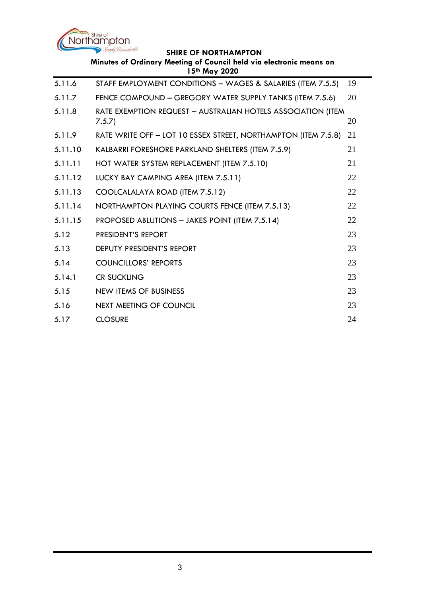

#### **SHIRE OF NORTHAMPTON**

|         | Minutes of Ordinary Meeting of Council held via electronic means on<br>15th May 2020 |    |
|---------|--------------------------------------------------------------------------------------|----|
| 5.11.6  | STAFF EMPLOYMENT CONDITIONS - WAGES & SALARIES (ITEM 7.5.5)                          | 19 |
| 5.11.7  | FENCE COMPOUND - GREGORY WATER SUPPLY TANKS (ITEM 7.5.6)                             | 20 |
| 5.11.8  | RATE EXEMPTION REQUEST - AUSTRALIAN HOTELS ASSOCIATION (ITEM<br>7.5.7                | 20 |
| 5.11.9  | RATE WRITE OFF - LOT 10 ESSEX STREET, NORTHAMPTON (ITEM 7.5.8)                       | 21 |
| 5.11.10 | KALBARRI FORESHORE PARKLAND SHELTERS (ITEM 7.5.9)                                    | 21 |
| 5.11.11 | HOT WATER SYSTEM REPLACEMENT (ITEM 7.5.10)                                           | 21 |
| 5.11.12 | LUCKY BAY CAMPING AREA (ITEM 7.5.11)                                                 | 22 |
| 5.11.13 | COOLCALALAYA ROAD (ITEM 7.5.12)                                                      | 22 |
| 5.11.14 | NORTHAMPTON PLAYING COURTS FENCE (ITEM 7.5.13)                                       | 22 |
| 5.11.15 | PROPOSED ABLUTIONS - JAKES POINT (ITEM 7.5.14)                                       | 22 |
| 5.12    | PRESIDENT'S REPORT                                                                   | 23 |
| 5.13    | DEPUTY PRESIDENT'S REPORT                                                            | 23 |
| 5.14    | <b>COUNCILLORS' REPORTS</b>                                                          | 23 |
| 5.14.1  | <b>CR SUCKLING</b>                                                                   | 23 |
| 5.15    | <b>NEW ITEMS OF BUSINESS</b>                                                         | 23 |
| 5.16    | <b>NEXT MEETING OF COUNCIL</b>                                                       | 23 |
| 5.17    | <b>CLOSURE</b>                                                                       | 24 |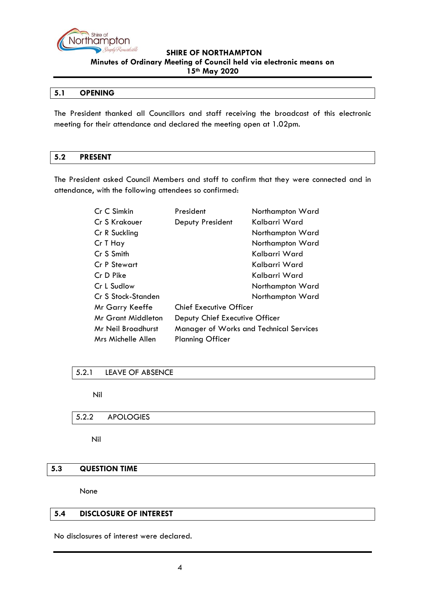

#### <span id="page-3-0"></span>**5.1 OPENING**

The President thanked all Councillors and staff receiving the broadcast of this electronic meeting for their attendance and declared the meeting open at 1.02pm.

#### <span id="page-3-1"></span>**5.2 PRESENT**

The President asked Council Members and staff to confirm that they were connected and in attendance, with the following attendees so confirmed:

| Cr C Simkin        | President                                      | Northampton Ward |  |  |
|--------------------|------------------------------------------------|------------------|--|--|
| Cr S Krakouer      | Deputy President                               | Kalbarri Ward    |  |  |
| Cr R Suckling      |                                                | Northampton Ward |  |  |
| Cr T Hay           |                                                | Northampton Ward |  |  |
| Cr S Smith         |                                                | Kalbarri Ward    |  |  |
| Cr P Stewart       |                                                | Kalbarri Ward    |  |  |
| Cr D Pike          |                                                | Kalbarri Ward    |  |  |
| Cr L Sudlow        |                                                | Northampton Ward |  |  |
| Cr S Stock-Standen |                                                | Northampton Ward |  |  |
| Mr Garry Keeffe    | <b>Chief Executive Officer</b>                 |                  |  |  |
| Mr Grant Middleton | Deputy Chief Executive Officer                 |                  |  |  |
| Mr Neil Broadhurst | <b>Manager of Works and Technical Services</b> |                  |  |  |
| Mrs Michelle Allen | <b>Planning Officer</b>                        |                  |  |  |

### <span id="page-3-2"></span>5.2.1 LEAVE OF ABSENCE

Nil

### <span id="page-3-3"></span>5.2.2 APOLOGIES

Nil

### <span id="page-3-4"></span>**5.3 QUESTION TIME**

None

#### <span id="page-3-5"></span>**5.4 DISCLOSURE OF INTEREST**

No disclosures of interest were declared.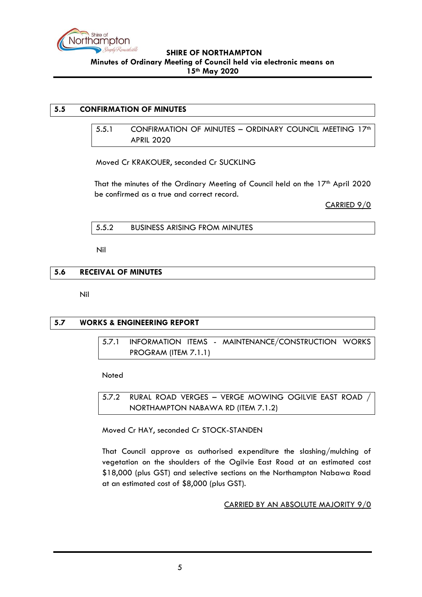

#### <span id="page-4-1"></span><span id="page-4-0"></span>**5.5 CONFIRMATION OF MINUTES**

5.5.1 CONFIRMATION OF MINUTES - ORDINARY COUNCIL MEETING 17<sup>th</sup> APRIL 2020

Moved Cr KRAKOUER, seconded Cr SUCKLING

That the minutes of the Ordinary Meeting of Council held on the 17<sup>th</sup> April 2020 be confirmed as a true and correct record.

CARRIED 9/0

<span id="page-4-2"></span>5.5.2 BUSINESS ARISING FROM MINUTES

Nil

### <span id="page-4-3"></span>**5.6 RECEIVAL OF MINUTES**

Nil

# <span id="page-4-5"></span><span id="page-4-4"></span>**5.7 WORKS & ENGINEERING REPORT**

5.7.1 INFORMATION ITEMS - MAINTENANCE/CONSTRUCTION WORKS PROGRAM (ITEM 7.1.1)

Noted

<span id="page-4-6"></span>5.7.2 RURAL ROAD VERGES – VERGE MOWING OGILVIE EAST ROAD / NORTHAMPTON NABAWA RD (ITEM 7.1.2)

Moved Cr HAY, seconded Cr STOCK-STANDEN

That Council approve as authorised expenditure the slashing/mulching of vegetation on the shoulders of the Ogilvie East Road at an estimated cost \$18,000 (plus GST) and selective sections on the Northampton Nabawa Road at an estimated cost of \$8,000 (plus GST).

CARRIED BY AN ABSOLUTE MAJORITY 9/0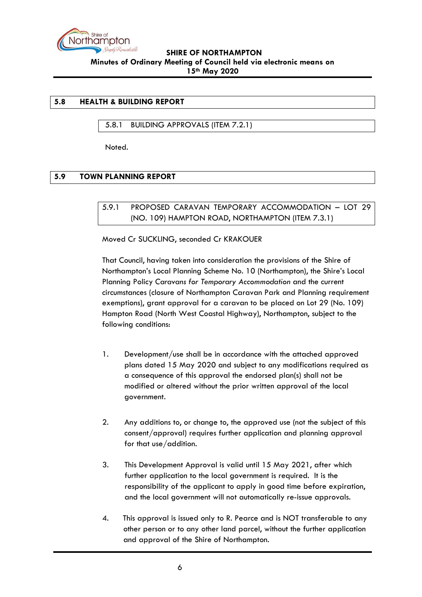

#### <span id="page-5-0"></span>**5.8 HEALTH & BUILDING REPORT**

#### <span id="page-5-1"></span>5.8.1 BUILDING APPROVALS (ITEM 7.2.1)

Noted.

### <span id="page-5-3"></span><span id="page-5-2"></span>**5.9 TOWN PLANNING REPORT**

5.9.1 PROPOSED CARAVAN TEMPORARY ACCOMMODATION – LOT 29 (NO. 109) HAMPTON ROAD, NORTHAMPTON (ITEM 7.3.1)

Moved Cr SUCKLING, seconded Cr KRAKOUER

That Council, having taken into consideration the provisions of the Shire of Northampton's Local Planning Scheme No. 10 (Northampton), the Shire's Local Planning Policy *Caravans for Temporary Accommodation* and the current circumstances (closure of Northampton Caravan Park and Planning requirement exemptions), grant approval for a caravan to be placed on Lot 29 (No. 109) Hampton Road (North West Coastal Highway), Northampton, subject to the following conditions:

- 1. Development/use shall be in accordance with the attached approved plans dated 15 May 2020 and subject to any modifications required as a consequence of this approval the endorsed plan(s) shall not be modified or altered without the prior written approval of the local government.
- 2. Any additions to, or change to, the approved use (not the subject of this consent/approval) requires further application and planning approval for that use/addition.
- 3. This Development Approval is valid until 15 May 2021, after which further application to the local government is required. It is the responsibility of the applicant to apply in good time before expiration, and the local government will not automatically re-issue approvals.
- 4. This approval is issued only to R. Pearce and is NOT transferable to any other person or to any other land parcel, without the further application and approval of the Shire of Northampton.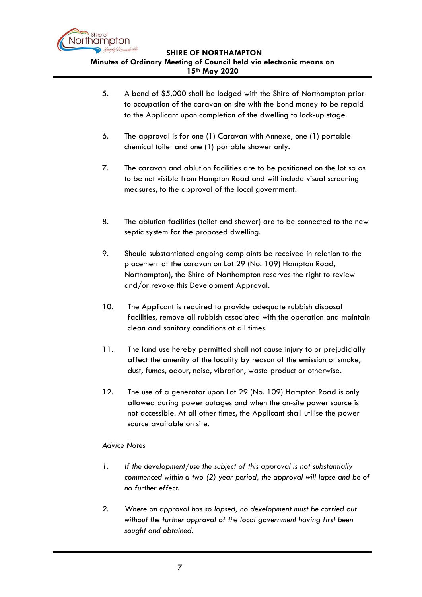

- 5. A bond of \$5,000 shall be lodged with the Shire of Northampton prior to occupation of the caravan on site with the bond money to be repaid to the Applicant upon completion of the dwelling to lock-up stage.
- 6. The approval is for one (1) Caravan with Annexe, one (1) portable chemical toilet and one (1) portable shower only.
- 7. The caravan and ablution facilities are to be positioned on the lot so as to be not visible from Hampton Road and will include visual screening measures, to the approval of the local government.
- 8. The ablution facilities (toilet and shower) are to be connected to the new septic system for the proposed dwelling.
- 9. Should substantiated ongoing complaints be received in relation to the placement of the caravan on Lot 29 (No. 109) Hampton Road, Northampton), the Shire of Northampton reserves the right to review and/or revoke this Development Approval.
- 10. The Applicant is required to provide adequate rubbish disposal facilities, remove all rubbish associated with the operation and maintain clean and sanitary conditions at all times.
- 11. The land use hereby permitted shall not cause injury to or prejudicially affect the amenity of the locality by reason of the emission of smoke, dust, fumes, odour, noise, vibration, waste product or otherwise.
- 12. The use of a generator upon Lot 29 (No. 109) Hampton Road is only allowed during power outages and when the on-site power source is not accessible. At all other times, the Applicant shall utilise the power source available on site.

### *Advice Notes*

- *1. If the development/use the subject of this approval is not substantially commenced within a two (2) year period, the approval will lapse and be of no further effect.*
- *2. Where an approval has so lapsed, no development must be carried out without the further approval of the local government having first been sought and obtained.*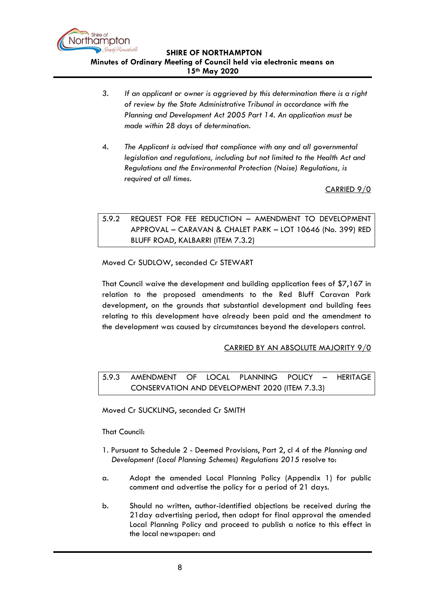

- *3. If an applicant or owner is aggrieved by this determination there is a right of review by the State Administrative Tribunal in accordance with the Planning and Development Act 2005 Part 14. An application must be made within 28 days of determination.*
- 4. *The Applicant is advised that compliance with any and all governmental legislation and regulations, including but not limited to the Health Act and Regulations and the Environmental Protection (Noise) Regulations, is required at all times.*

CARRIED 9/0

# <span id="page-7-0"></span>5.9.2 REQUEST FOR FEE REDUCTION – AMENDMENT TO DEVELOPMENT APPROVAL – CARAVAN & CHALET PARK – LOT 10646 (No. 399) RED BLUFF ROAD, KALBARRI (ITEM 7.3.2)

Moved Cr SUDLOW, seconded Cr STEWART

That Council waive the development and building application fees of \$7,167 in relation to the proposed amendments to the Red Bluff Caravan Park development, on the grounds that substantial development and building fees relating to this development have already been paid and the amendment to the development was caused by circumstances beyond the developers control.

### CARRIED BY AN ABSOLUTE MAJORITY 9/0

<span id="page-7-1"></span>5.9.3 AMENDMENT OF LOCAL PLANNING POLICY – HERITAGE CONSERVATION AND DEVELOPMENT 2020 (ITEM 7.3.3)

Moved Cr SUCKLING, seconded Cr SMITH

That Council:

- 1. Pursuant to Schedule 2 Deemed Provisions, Part 2, cl 4 of the *Planning and Development (Local Planning Schemes) Regulations 2015* resolve to:
- a. Adopt the amended Local Planning Policy (Appendix 1) for public comment and advertise the policy for a period of 21 days.
- b. Should no written, author-identified objections be received during the 21day advertising period, then adopt for final approval the amended Local Planning Policy and proceed to publish a notice to this effect in the local newspaper: and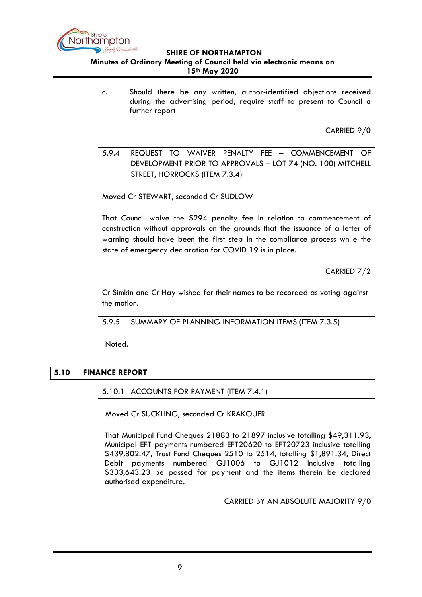

c. Should there be any written, author-identified objections received during the advertising period, require staff to present to Council a further report

CARRIED 9/0

<span id="page-8-0"></span>5.9.4 REQUEST TO WAIVER PENALTY FEE – COMMENCEMENT OF DEVELOPMENT PRIOR TO APPROVALS – LOT 74 (NO. 100) MITCHELL STREET, HORROCKS (ITEM 7.3.4)

Moved Cr STEWART, seconded Cr SUDLOW

That Council waive the \$294 penalty fee in relation to commencement of construction without approvals on the grounds that the issuance of a letter of warning should have been the first step in the compliance process while the state of emergency declaration for COVID 19 is in place.

CARRIED 7/2

Cr Simkin and Cr Hay wished for their names to be recorded as voting against the motion.

<span id="page-8-1"></span>5.9.5 SUMMARY OF PLANNING INFORMATION ITEMS (ITEM 7.3.5)

Noted.

# <span id="page-8-3"></span><span id="page-8-2"></span>**5.10 FINANCE REPORT**

### 5.10.1 ACCOUNTS FOR PAYMENT (ITEM 7.4.1)

Moved Cr SUCKLING, seconded Cr KRAKOUER

That Municipal Fund Cheques 21883 to 21897 inclusive totalling \$49,311.93, Municipal EFT payments numbered EFT20620 to EFT20723 inclusive totalling \$439,802.47, Trust Fund Cheques 2510 to 2514, totalling \$1,891.34, Direct Debit payments numbered GJ1006 to GJ1012 inclusive totalling \$333,643.23 be passed for payment and the items therein be declared authorised expenditure.

CARRIED BY AN ABSOLUTE MAJORITY 9/0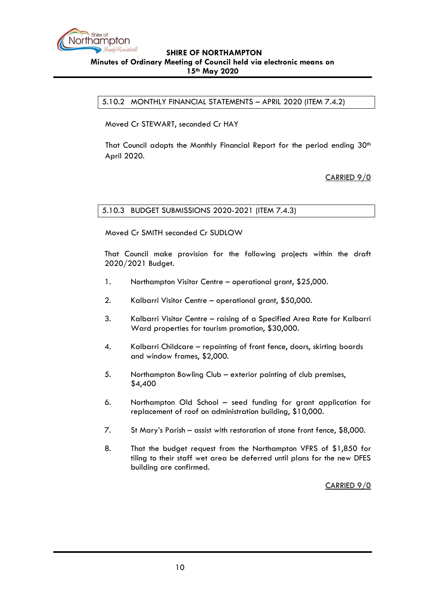

<span id="page-9-0"></span>5.10.2 MONTHLY FINANCIAL STATEMENTS – APRIL 2020 (ITEM 7.4.2)

Moved Cr STEWART, seconded Cr HAY

That Council adopts the Monthly Financial Report for the period ending  $30<sup>th</sup>$ April 2020.

CARRIED 9/0

<span id="page-9-1"></span>5.10.3 BUDGET SUBMISSIONS 2020-2021 (ITEM 7.4.3)

Moved Cr SMITH seconded Cr SUDLOW

That Council make provision for the following projects within the draft 2020/2021 Budget.

- 1. Northampton Visitor Centre operational grant, \$25,000.
- 2. Kalbarri Visitor Centre operational grant, \$50,000.
- 3. Kalbarri Visitor Centre raising of a Specified Area Rate for Kalbarri Ward properties for tourism promotion, \$30,000.
- 4. Kalbarri Childcare repainting of front fence, doors, skirting boards and window frames, \$2,000.
- 5. Northampton Bowling Club exterior painting of club premises, \$4,400
- 6. Northampton Old School seed funding for grant application for replacement of roof on administration building, \$10,000.
- 7. St Mary's Parish assist with restoration of stone front fence, \$8,000.
- 8. That the budget request from the Northampton VFRS of \$1,850 for tiling to their staff wet area be deferred until plans for the new DFES building are confirmed.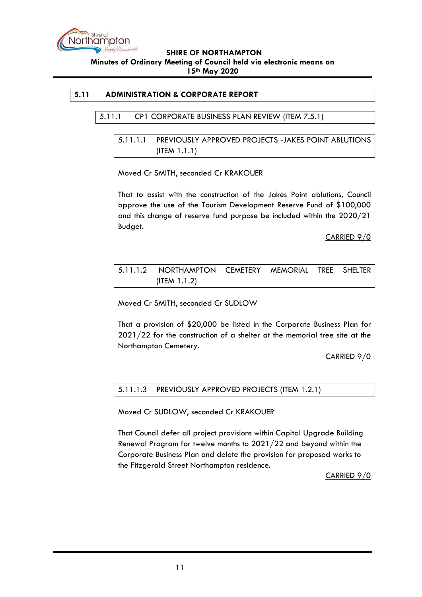

### <span id="page-10-2"></span><span id="page-10-1"></span><span id="page-10-0"></span>**5.11 ADMINISTRATION & CORPORATE REPORT**

#### 5.11.1 CP1 CORPORATE BUSINESS PLAN REVIEW (ITEM 7.5.1)

## 5.11.1.1 PREVIOUSLY APPROVED PROJECTS -JAKES POINT ABLUTIONS (ITEM 1.1.1)

#### Moved Cr SMITH, seconded Cr KRAKOUER

That to assist with the construction of the Jakes Point ablutions, Council approve the use of the Tourism Development Reserve Fund of \$100,000 and this change of reserve fund purpose be included within the 2020/21 Budget.

CARRIED 9/0

# <span id="page-10-3"></span>5.11.1.2 NORTHAMPTON CEMETERY MEMORIAL TREE SHELTER (ITEM 1.1.2)

Moved Cr SMITH, seconded Cr SUDLOW

That a provision of \$20,000 be listed in the Corporate Business Plan for 2021/22 for the construction of a shelter at the memorial tree site at the Northampton Cemetery.

CARRIED 9/0

### <span id="page-10-4"></span>5.11.1.3 PREVIOUSLY APPROVED PROJECTS (ITEM 1.2.1)

Moved Cr SUDLOW, seconded Cr KRAKOUER

That Council defer all project provisions within Capital Upgrade Building Renewal Program for twelve months to 2021/22 and beyond within the Corporate Business Plan and delete the provision for proposed works to the Fitzgerald Street Northampton residence.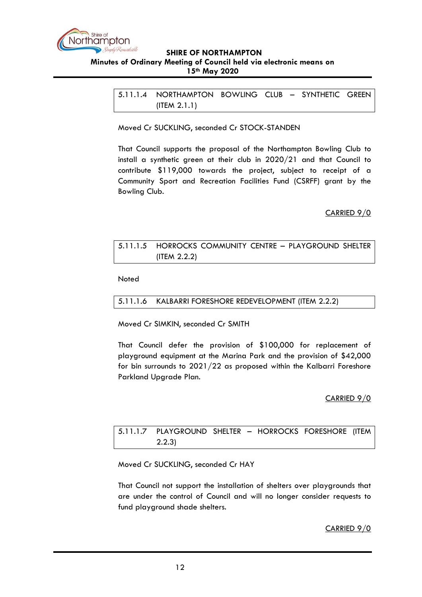

<span id="page-11-0"></span>5.11.1.4 NORTHAMPTON BOWLING CLUB – SYNTHETIC GREEN (ITEM 2.1.1)

Moved Cr SUCKLING, seconded Cr STOCK-STANDEN

That Council supports the proposal of the Northampton Bowling Club to install a synthetic green at their club in 2020/21 and that Council to contribute \$119,000 towards the project, subject to receipt of a Community Sport and Recreation Facilities Fund (CSRFF) grant by the Bowling Club.

CARRIED 9/0

# <span id="page-11-1"></span>5.11.1.5 HORROCKS COMMUNITY CENTRE – PLAYGROUND SHELTER (ITEM 2.2.2)

Noted

### <span id="page-11-2"></span>5.11.1.6 KALBARRI FORESHORE REDEVELOPMENT (ITEM 2.2.2)

Moved Cr SIMKIN, seconded Cr SMITH

That Council defer the provision of \$100,000 for replacement of playground equipment at the Marina Park and the provision of \$42,000 for bin surrounds to 2021/22 as proposed within the Kalbarri Foreshore Parkland Upgrade Plan.

### CARRIED 9/0

# <span id="page-11-3"></span>5.11.1.7 PLAYGROUND SHELTER – HORROCKS FORESHORE (ITEM 2.2.3)

Moved Cr SUCKLING, seconded Cr HAY

That Council not support the installation of shelters over playgrounds that are under the control of Council and will no longer consider requests to fund playground shade shelters.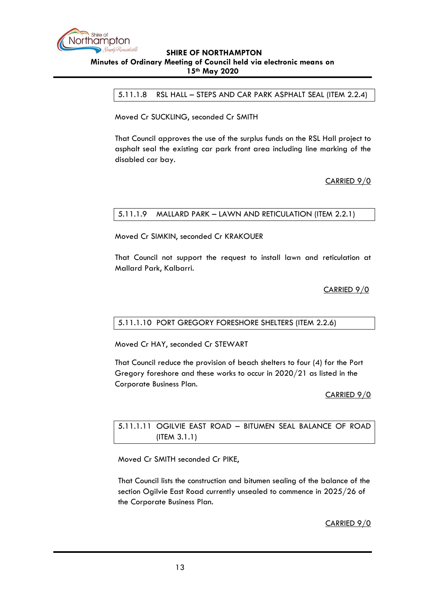<span id="page-12-0"></span>

5.11.1.8 RSL HALL – STEPS AND CAR PARK ASPHALT SEAL (ITEM 2.2.4)

Moved Cr SUCKLING, seconded Cr SMITH

That Council approves the use of the surplus funds on the RSL Hall project to asphalt seal the existing car park front area including line marking of the disabled car bay.

### CARRIED 9/0

## <span id="page-12-1"></span>5.11.1.9 MALLARD PARK – LAWN AND RETICULATION (ITEM 2.2.1)

Moved Cr SIMKIN, seconded Cr KRAKOUER

That Council not support the request to install lawn and reticulation at Mallard Park, Kalbarri.

CARRIED 9/0

#### <span id="page-12-2"></span>5.11.1.10 PORT GREGORY FORESHORE SHELTERS (ITEM 2.2.6)

Moved Cr HAY, seconded Cr STEWART

That Council reduce the provision of beach shelters to four (4) for the Port Gregory foreshore and these works to occur in 2020/21 as listed in the Corporate Business Plan.

CARRIED 9/0

<span id="page-12-3"></span>5.11.1.11 OGILVIE EAST ROAD – BITUMEN SEAL BALANCE OF ROAD (ITEM 3.1.1)

Moved Cr SMITH seconded Cr PIKE,

That Council lists the construction and bitumen sealing of the balance of the section Ogilvie East Road currently unsealed to commence in 2025/26 of the Corporate Business Plan.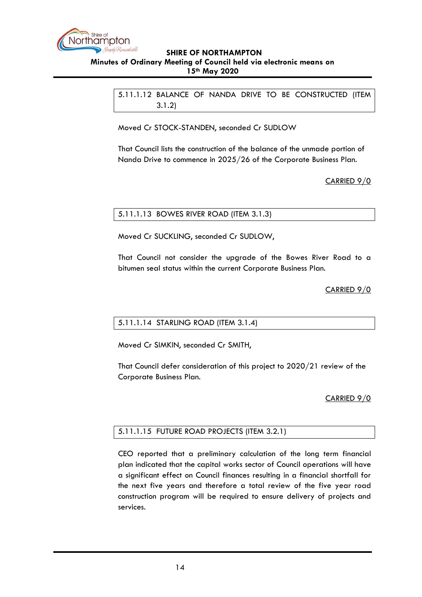<span id="page-13-0"></span>

5.11.1.12 BALANCE OF NANDA DRIVE TO BE CONSTRUCTED (ITEM 3.1.2)

Moved Cr STOCK-STANDEN, seconded Cr SUDLOW

That Council lists the construction of the balance of the unmade portion of Nanda Drive to commence in 2025/26 of the Corporate Business Plan.

CARRIED 9/0

## <span id="page-13-1"></span>5.11.1.13 BOWES RIVER ROAD (ITEM 3.1.3)

Moved Cr SUCKLING, seconded Cr SUDLOW,

That Council not consider the upgrade of the Bowes River Road to a bitumen seal status within the current Corporate Business Plan.

CARRIED 9/0

#### <span id="page-13-2"></span>5.11.1.14 STARLING ROAD (ITEM 3.1.4)

Moved Cr SIMKIN, seconded Cr SMITH,

That Council defer consideration of this project to 2020/21 review of the Corporate Business Plan.

### CARRIED 9/0

### <span id="page-13-3"></span>5.11.1.15 FUTURE ROAD PROJECTS (ITEM 3.2.1)

CEO reported that a preliminary calculation of the long term financial plan indicated that the capital works sector of Council operations will have a significant effect on Council finances resulting in a financial shortfall for the next five years and therefore a total review of the five year road construction program will be required to ensure delivery of projects and services.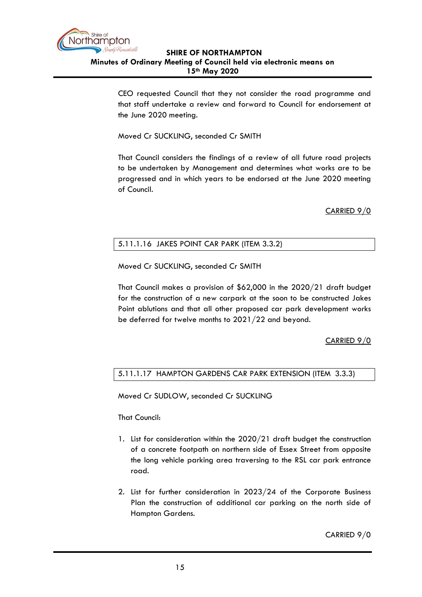

CEO requested Council that they not consider the road programme and that staff undertake a review and forward to Council for endorsement at the June 2020 meeting.

Moved Cr SUCKLING, seconded Cr SMITH

That Council considers the findings of a review of all future road projects to be undertaken by Management and determines what works are to be progressed and in which years to be endorsed at the June 2020 meeting of Council.

CARRIED 9/0

### <span id="page-14-0"></span>5.11.1.16 JAKES POINT CAR PARK (ITEM 3.3.2)

Moved Cr SUCKLING, seconded Cr SMITH

That Council makes a provision of \$62,000 in the 2020/21 draft budget for the construction of a new carpark at the soon to be constructed Jakes Point ablutions and that all other proposed car park development works be deferred for twelve months to 2021/22 and beyond.

CARRIED 9/0

### <span id="page-14-1"></span>5.11.1.17 HAMPTON GARDENS CAR PARK EXTENSION (ITEM 3.3.3)

Moved Cr SUDLOW, seconded Cr SUCKLING

That Council:

- 1. List for consideration within the 2020/21 draft budget the construction of a concrete footpath on northern side of Essex Street from opposite the long vehicle parking area traversing to the RSL car park entrance road.
- 2. List for further consideration in 2023/24 of the Corporate Business Plan the construction of additional car parking on the north side of Hampton Gardens.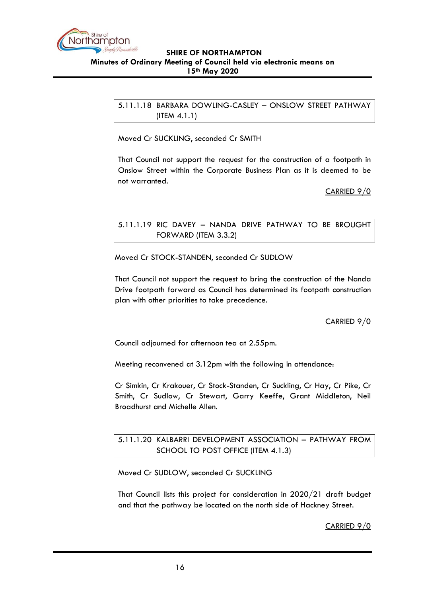

<span id="page-15-0"></span>5.11.1.18 BARBARA DOWLING-CASLEY – ONSLOW STREET PATHWAY (ITEM 4.1.1)

Moved Cr SUCKLING, seconded Cr SMITH

That Council not support the request for the construction of a footpath in Onslow Street within the Corporate Business Plan as it is deemed to be not warranted.

CARRIED 9/0

## <span id="page-15-1"></span>5.11.1.19 RIC DAVEY – NANDA DRIVE PATHWAY TO BE BROUGHT FORWARD (ITEM 3.3.2)

Moved Cr STOCK-STANDEN, seconded Cr SUDLOW

That Council not support the request to bring the construction of the Nanda Drive footpath forward as Council has determined its footpath construction plan with other priorities to take precedence.

# CARRIED 9/0

Council adjourned for afternoon tea at 2.55pm.

Meeting reconvened at 3.12pm with the following in attendance:

Cr Simkin, Cr Krakouer, Cr Stock-Standen, Cr Suckling, Cr Hay, Cr Pike, Cr Smith, Cr Sudlow, Cr Stewart, Garry Keeffe, Grant Middleton, Neil Broadhurst and Michelle Allen.

# <span id="page-15-2"></span>5.11.1.20 KALBARRI DEVELOPMENT ASSOCIATION – PATHWAY FROM SCHOOL TO POST OFFICE (ITEM 4.1.3)

Moved Cr SUDLOW, seconded Cr SUCKLING

That Council lists this project for consideration in 2020/21 draft budget and that the pathway be located on the north side of Hackney Street.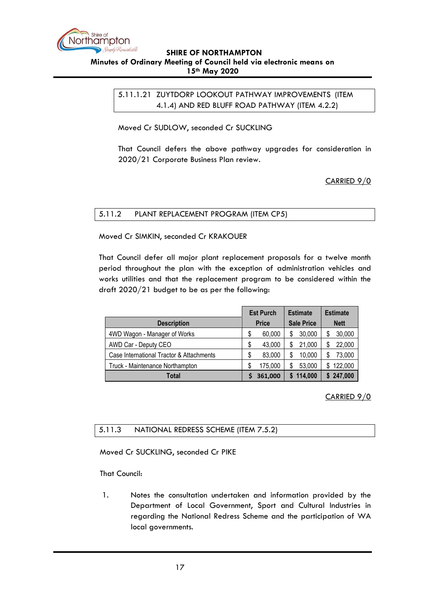<span id="page-16-0"></span>

## 5.11.1.21 ZUYTDORP LOOKOUT PATHWAY IMPROVEMENTS (ITEM 4.1.4) AND RED BLUFF ROAD PATHWAY (ITEM 4.2.2)

Moved Cr SUDLOW, seconded Cr SUCKLING

That Council defers the above pathway upgrades for consideration in 2020/21 Corporate Business Plan review.

CARRIED 9/0

## <span id="page-16-1"></span>5.11.2 PLANT REPLACEMENT PROGRAM (ITEM CP5)

Moved Cr SIMKIN, seconded Cr KRAKOUER

That Council defer all major plant replacement proposals for a twelve month period throughout the plan with the exception of administration vehicles and works utilities and that the replacement program to be considered within the draft 2020/21 budget to be as per the following:

|                                          |              | <b>Est Purch</b> |                   | <b>Estimate</b> |             | <b>Estimate</b> |  |
|------------------------------------------|--------------|------------------|-------------------|-----------------|-------------|-----------------|--|
| <b>Description</b>                       | <b>Price</b> |                  | <b>Sale Price</b> |                 | <b>Nett</b> |                 |  |
| 4WD Wagon - Manager of Works             | S            | 60,000           |                   | 30,000          | S           | 30,000          |  |
| AWD Car - Deputy CEO                     | \$           | 43,000           | S                 | 21,000          | \$          | 22,000          |  |
| Case International Tractor & Attachments | S            | 83,000           |                   | 10,000          |             | 73,000          |  |
| Truck - Maintenance Northampton          | S            | 175,000          |                   | 53,000          |             | \$122,000       |  |
| Total                                    |              | 361,000          |                   | 114,000         |             | \$247,000       |  |

# CARRIED 9/0

### <span id="page-16-2"></span>5.11.3 NATIONAL REDRESS SCHEME (ITEM 7.5.2)

Moved Cr SUCKLING, seconded Cr PIKE

That Council:

1. Notes the consultation undertaken and information provided by the Department of Local Government, Sport and Cultural Industries in regarding the National Redress Scheme and the participation of WA local governments.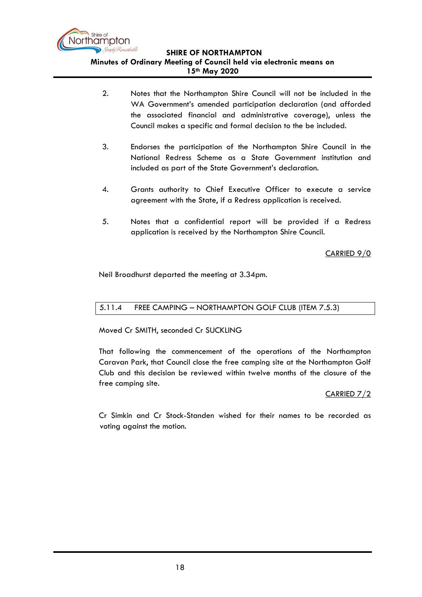

- 2. Notes that the Northampton Shire Council will not be included in the WA Government's amended participation declaration (and afforded the associated financial and administrative coverage), unless the Council makes a specific and formal decision to the be included.
- 3. Endorses the participation of the Northampton Shire Council in the National Redress Scheme as a State Government institution and included as part of the State Government's declaration.
- 4. Grants authority to Chief Executive Officer to execute a service agreement with the State, if a Redress application is received.
- 5. Notes that a confidential report will be provided if a Redress application is received by the Northampton Shire Council.

CARRIED 9/0

Neil Broadhurst departed the meeting at 3.34pm.

# <span id="page-17-0"></span>5.11.4 FREE CAMPING – NORTHAMPTON GOLF CLUB (ITEM 7.5.3)

Moved Cr SMITH, seconded Cr SUCKLING

That following the commencement of the operations of the Northampton Caravan Park, that Council close the free camping site at the Northampton Golf Club and this decision be reviewed within twelve months of the closure of the free camping site.

# CARRIED 7/2

Cr Simkin and Cr Stock-Standen wished for their names to be recorded as voting against the motion.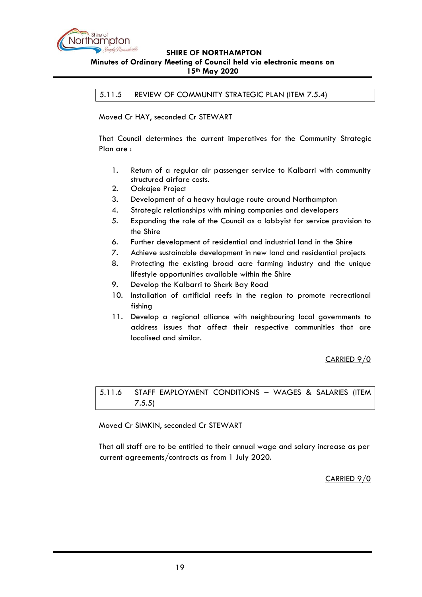

<span id="page-18-0"></span>5.11.5 REVIEW OF COMMUNITY STRATEGIC PLAN (ITEM 7.5.4)

Moved Cr HAY, seconded Cr STEWART

That Council determines the current imperatives for the Community Strategic Plan are :

- 1. Return of a regular air passenger service to Kalbarri with community structured airfare costs.
- 2. Oakajee Project
- 3. Development of a heavy haulage route around Northampton
- 4. Strategic relationships with mining companies and developers
- 5. Expanding the role of the Council as a lobbyist for service provision to the Shire
- 6. Further development of residential and industrial land in the Shire
- 7. Achieve sustainable development in new land and residential projects
- 8. Protecting the existing broad acre farming industry and the unique lifestyle opportunities available within the Shire
- 9. Develop the Kalbarri to Shark Bay Road
- 10. Installation of artificial reefs in the region to promote recreational fishing
- 11. Develop a regional alliance with neighbouring local governments to address issues that affect their respective communities that are localised and similar.

### CARRIED 9/0

<span id="page-18-1"></span>5.11.6 STAFF EMPLOYMENT CONDITIONS – WAGES & SALARIES (ITEM 7.5.5)

Moved Cr SIMKIN, seconded Cr STEWART

That all staff are to be entitled to their annual wage and salary increase as per current agreements/contracts as from 1 July 2020.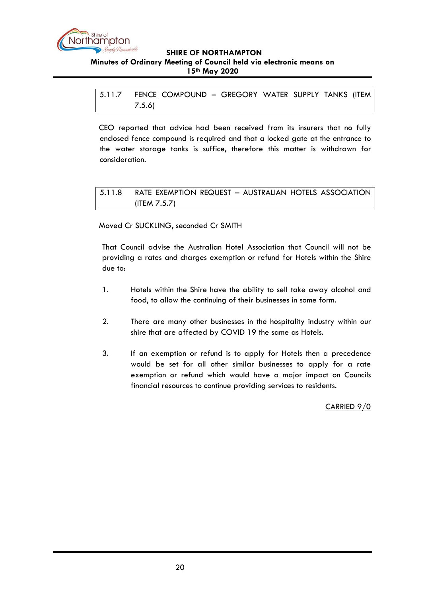

<span id="page-19-0"></span>5.11.7 FENCE COMPOUND – GREGORY WATER SUPPLY TANKS (ITEM 7.5.6)

CEO reported that advice had been received from its insurers that no fully enclosed fence compound is required and that a locked gate at the entrance to the water storage tanks is suffice, therefore this matter is withdrawn for consideration.

## <span id="page-19-1"></span>5.11.8 RATE EXEMPTION REQUEST – AUSTRALIAN HOTELS ASSOCIATION (ITEM 7.5.7)

Moved Cr SUCKLING, seconded Cr SMITH

That Council advise the Australian Hotel Association that Council will not be providing a rates and charges exemption or refund for Hotels within the Shire due to:

- 1. Hotels within the Shire have the ability to sell take away alcohol and food, to allow the continuing of their businesses in some form.
- 2. There are many other businesses in the hospitality industry within our shire that are affected by COVID 19 the same as Hotels.
- 3. If an exemption or refund is to apply for Hotels then a precedence would be set for all other similar businesses to apply for a rate exemption or refund which would have a major impact on Councils financial resources to continue providing services to residents.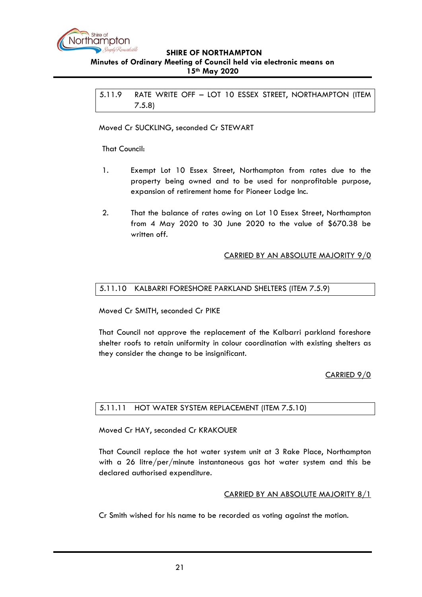

<span id="page-20-0"></span>5.11.9 RATE WRITE OFF – LOT 10 ESSEX STREET, NORTHAMPTON (ITEM 7.5.8)

Moved Cr SUCKLING, seconded Cr STEWART

### That Council:

- 1. Exempt Lot 10 Essex Street, Northampton from rates due to the property being owned and to be used for nonprofitable purpose, expansion of retirement home for Pioneer Lodge Inc.
- 2. That the balance of rates owing on Lot 10 Essex Street, Northampton from 4 May 2020 to 30 June 2020 to the value of \$670.38 be written off.

### CARRIED BY AN ABSOLUTE MAJORITY 9/0

### <span id="page-20-1"></span>5.11.10 KALBARRI FORESHORE PARKLAND SHELTERS (ITEM 7.5.9)

Moved Cr SMITH, seconded Cr PIKE

That Council not approve the replacement of the Kalbarri parkland foreshore shelter roofs to retain uniformity in colour coordination with existing shelters as they consider the change to be insignificant.

### CARRIED 9/0

### <span id="page-20-2"></span>5.11.11 HOT WATER SYSTEM REPLACEMENT (ITEM 7.5.10)

Moved Cr HAY, seconded Cr KRAKOUER

That Council replace the hot water system unit at 3 Rake Place, Northampton with a 26 litre/per/minute instantaneous gas hot water system and this be declared authorised expenditure.

#### CARRIED BY AN ABSOLUTE MAJORITY 8/1

Cr Smith wished for his name to be recorded as voting against the motion.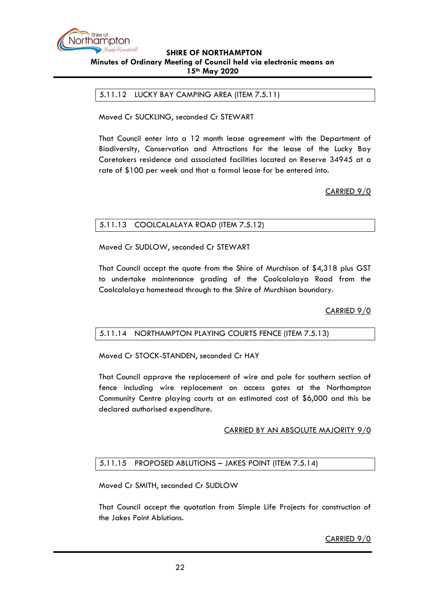

### <span id="page-21-0"></span>5.11.12 LUCKY BAY CAMPING AREA (ITEM 7.5.11)

Moved Cr SUCKLING, seconded Cr STEWART

That Council enter into a 12 month lease agreement with the Department of Biodiversity, Conservation and Attractions for the lease of the Lucky Bay Caretakers residence and associated facilities located on Reserve 34945 at a rate of \$100 per week and that a formal lease for be entered into.

CARRIED 9/0

### <span id="page-21-1"></span>5.11.13 COOLCALALAYA ROAD (ITEM 7.5.12)

Moved Cr SUDLOW, seconded Cr STEWART

That Council accept the quote from the Shire of Murchison of \$4,318 plus GST to undertake maintenance grading of the Coolcalalaya Road from the Coolcalalaya homestead through to the Shire of Murchison boundary.

CARRIED 9/0

### <span id="page-21-2"></span>5.11.14 NORTHAMPTON PLAYING COURTS FENCE (ITEM 7.5.13)

Moved Cr STOCK-STANDEN, seconded Cr HAY

That Council approve the replacement of wire and pole for southern section of fence including wire replacement on access gates at the Northampton Community Centre playing courts at an estimated cost of \$6,000 and this be declared authorised expenditure.

#### CARRIED BY AN ABSOLUTE MAJORITY 9/0

### <span id="page-21-3"></span>5.11.15 PROPOSED ABLUTIONS – JAKES POINT (ITEM 7.5.14)

Moved Cr SMITH, seconded Cr SUDLOW

That Council accept the quotation from Simple Life Projects for construction of the Jakes Point Ablutions.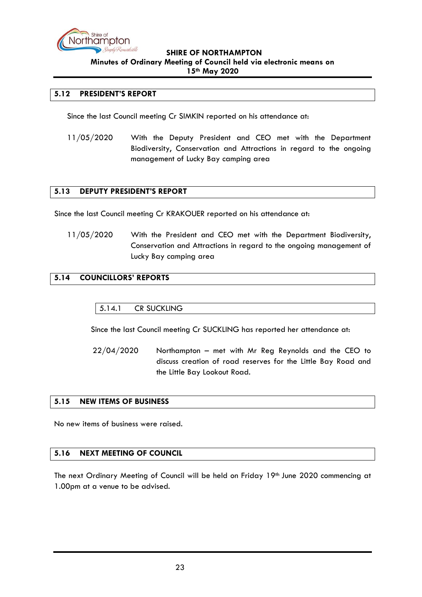

### <span id="page-22-0"></span>**5.12 PRESIDENT'S REPORT**

Since the last Council meeting Cr SIMKIN reported on his attendance at:

11/05/2020 With the Deputy President and CEO met with the Department Biodiversity, Conservation and Attractions in regard to the ongoing management of Lucky Bay camping area

#### <span id="page-22-1"></span>**5.13 DEPUTY PRESIDENT'S REPORT**

Since the last Council meeting Cr KRAKOUER reported on his attendance at:

11/05/2020 With the President and CEO met with the Department Biodiversity, Conservation and Attractions in regard to the ongoing management of Lucky Bay camping area

#### <span id="page-22-3"></span><span id="page-22-2"></span>**5.14 COUNCILLORS' REPORTS**

#### 5.14.1 CR SUCKLING

Since the last Council meeting Cr SUCKLING has reported her attendance at:

22/04/2020 Northampton – met with Mr Reg Reynolds and the CEO to discuss creation of road reserves for the Little Bay Road and the Little Bay Lookout Road.

#### <span id="page-22-4"></span>**5.15 NEW ITEMS OF BUSINESS**

No new items of business were raised.

#### <span id="page-22-5"></span>**5.16 NEXT MEETING OF COUNCIL**

The next Ordinary Meeting of Council will be held on Friday 19th June 2020 commencing at 1.00pm at a venue to be advised.